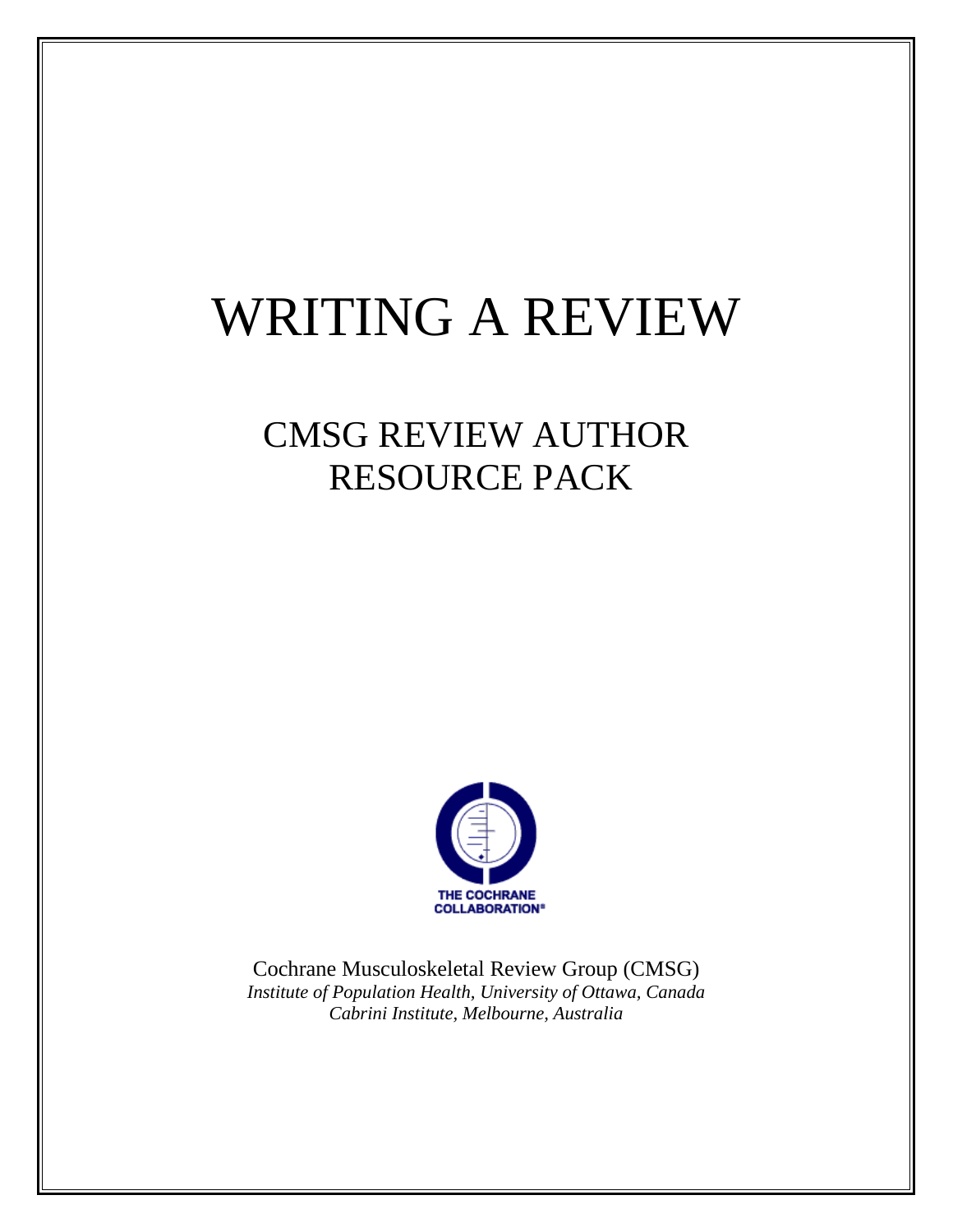# WRITING A REVIEW

## CMSG REVIEW AUTHOR RESOURCE PACK



Cochrane Musculoskeletal Review Group (CMSG) *Institute of Population Health, University of Ottawa, Canada Cabrini Institute, Melbourne, Australia*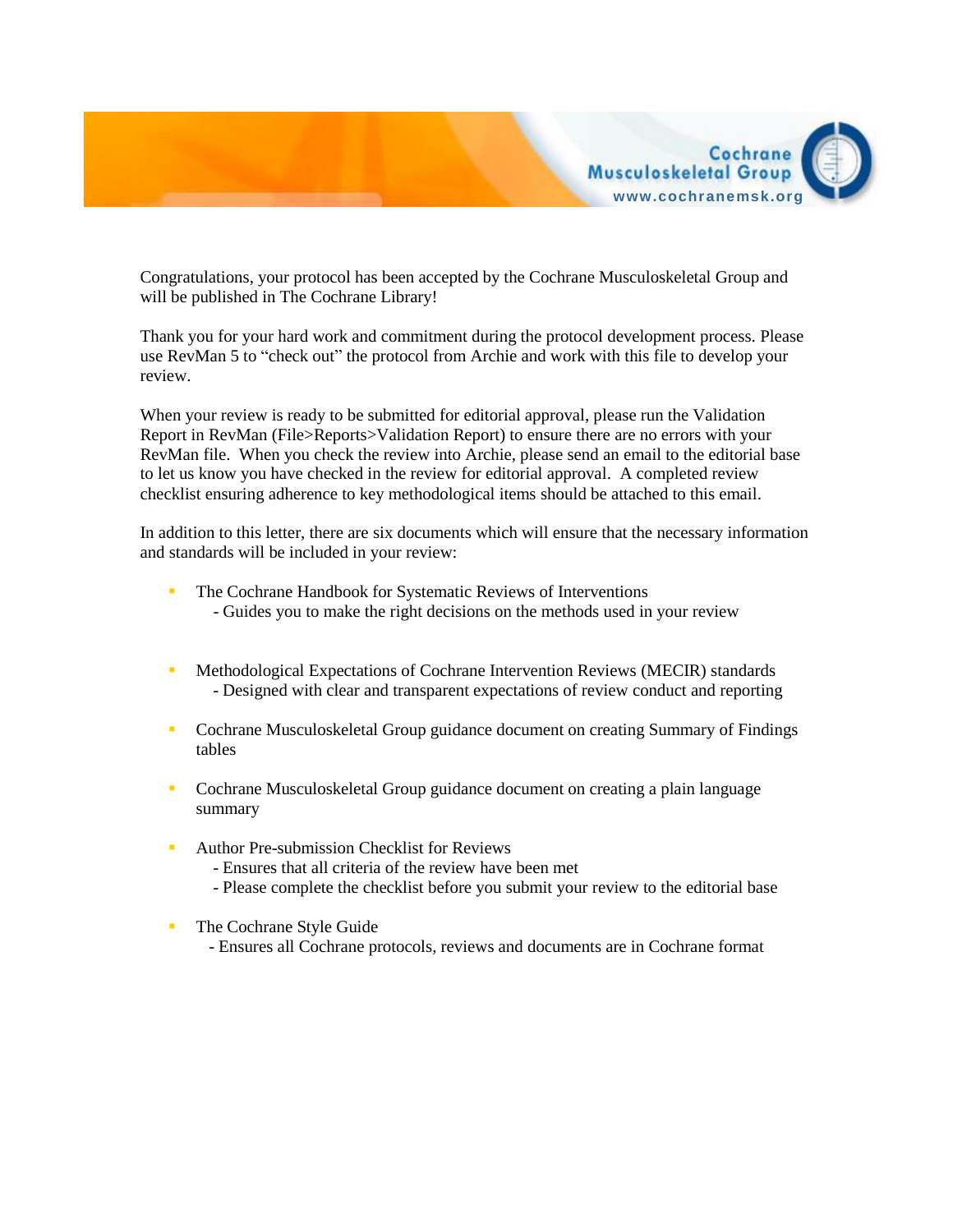

Congratulations, your protocol has been accepted by the Cochrane Musculoskeletal Group and will be published in The Cochrane Library!

Thank you for your hard work and commitment during the protocol development process. Please use RevMan 5 to "check out" the protocol from Archie and work with this file to develop your review.

When your review is ready to be submitted for editorial approval, please run the Validation Report in RevMan (File>Reports>Validation Report) to ensure there are no errors with your RevMan file. When you check the review into Archie, please send an email to the editorial base to let us know you have checked in the review for editorial approval. A completed review checklist ensuring adherence to key methodological items should be attached to this email.

In addition to this letter, there are six documents which will ensure that the necessary information and standards will be included in your review:

- The Cochrane Handbook for Systematic Reviews of Interventions - Guides you to make the right decisions on the methods used in your review
- **Methodological Expectations of Cochrane Intervention Reviews (MECIR) standards** - Designed with clear and transparent expectations of review conduct and reporting
- Cochrane Musculoskeletal Group guidance document on creating Summary of Findings tables
- Cochrane Musculoskeletal Group guidance document on creating a plain language summary
- Author Pre-submission Checklist for Reviews

- Ensures that all criteria of the review have been met

- Please complete the checklist before you submit your review to the editorial base
- **The Cochrane Style Guide** 
	- Ensures all Cochrane protocols, reviews and documents are in Cochrane format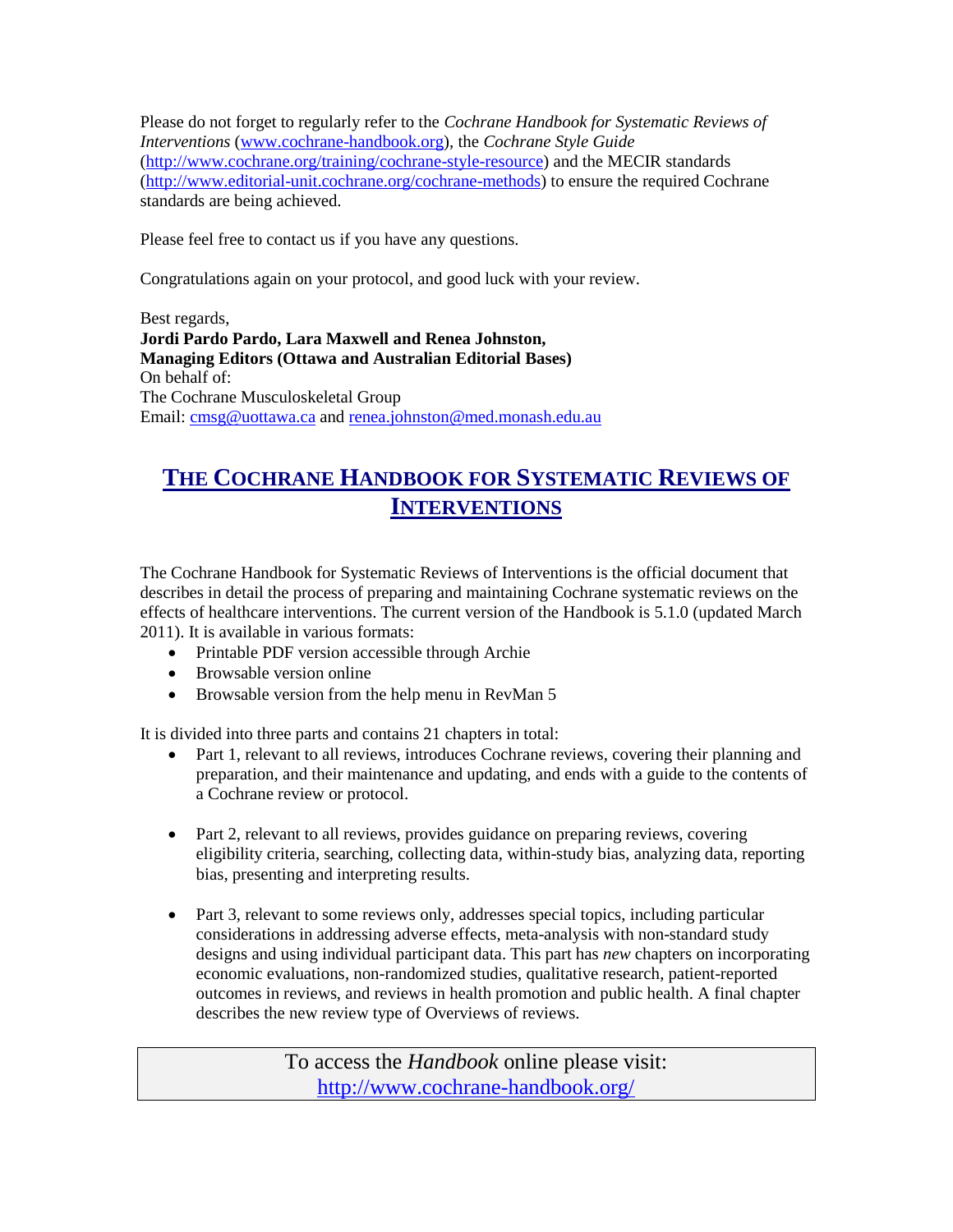Please do not forget to regularly refer to the *Cochrane Handbook for Systematic Reviews of Interventions* [\(www.cochrane-handbook.org\)](http://www.cochrane-handbook.org/), the *Cochrane Style Guide* [\(http://www.cochrane.org/training/cochrane-style-resource\)](http://www.cochrane.org/training/cochrane-style-resource) and the MECIR standards [\(http://www.editorial-unit.cochrane.org/cochrane-methods\)](http://www.editorial-unit.cochrane.org/cochrane-methods) to ensure the required Cochrane standards are being achieved.

Please feel free to contact us if you have any questions.

Congratulations again on your protocol, and good luck with your review.

Best regards, **Jordi Pardo Pardo, Lara Maxwell and Renea Johnston, Managing Editors (Ottawa and Australian Editorial Bases)** On behalf of: The Cochrane Musculoskeletal Group Email: [cmsg@uottawa.ca](mailto:cmsg@uottawa.ca) and [renea.johnston@med.monash.edu.au](mailto:renea.johnston@med.monash.edu.au)

#### **THE COCHRANE HANDBOOK FOR SYSTEMATIC REVIEWS OF INTERVENTIONS**

The Cochrane Handbook for Systematic Reviews of Interventions is the official document that describes in detail the process of preparing and maintaining Cochrane systematic reviews on the effects of healthcare interventions. The current version of the Handbook is 5.1.0 (updated March 2011). It is available in various formats:

- Printable PDF version accessible through Archie
- Browsable version online
- Browsable version from the help menu in RevMan 5

It is divided into three parts and contains 21 chapters in total:

- Part 1, relevant to all reviews, introduces Cochrane reviews, covering their planning and preparation, and their maintenance and updating, and ends with a guide to the contents of a Cochrane review or protocol.
- Part 2, relevant to all reviews, provides guidance on preparing reviews, covering eligibility criteria, searching, collecting data, within-study bias, analyzing data, reporting bias, presenting and interpreting results.
- Part 3, relevant to some reviews only, addresses special topics, including particular considerations in addressing adverse effects, meta-analysis with non-standard study designs and using individual participant data. This part has *new* chapters on incorporating economic evaluations, non-randomized studies, qualitative research, patient-reported outcomes in reviews, and reviews in health promotion and public health. A final chapter describes the new review type of Overviews of reviews.

To access the *Handbook* online please visit: <http://www.cochrane-handbook.org/>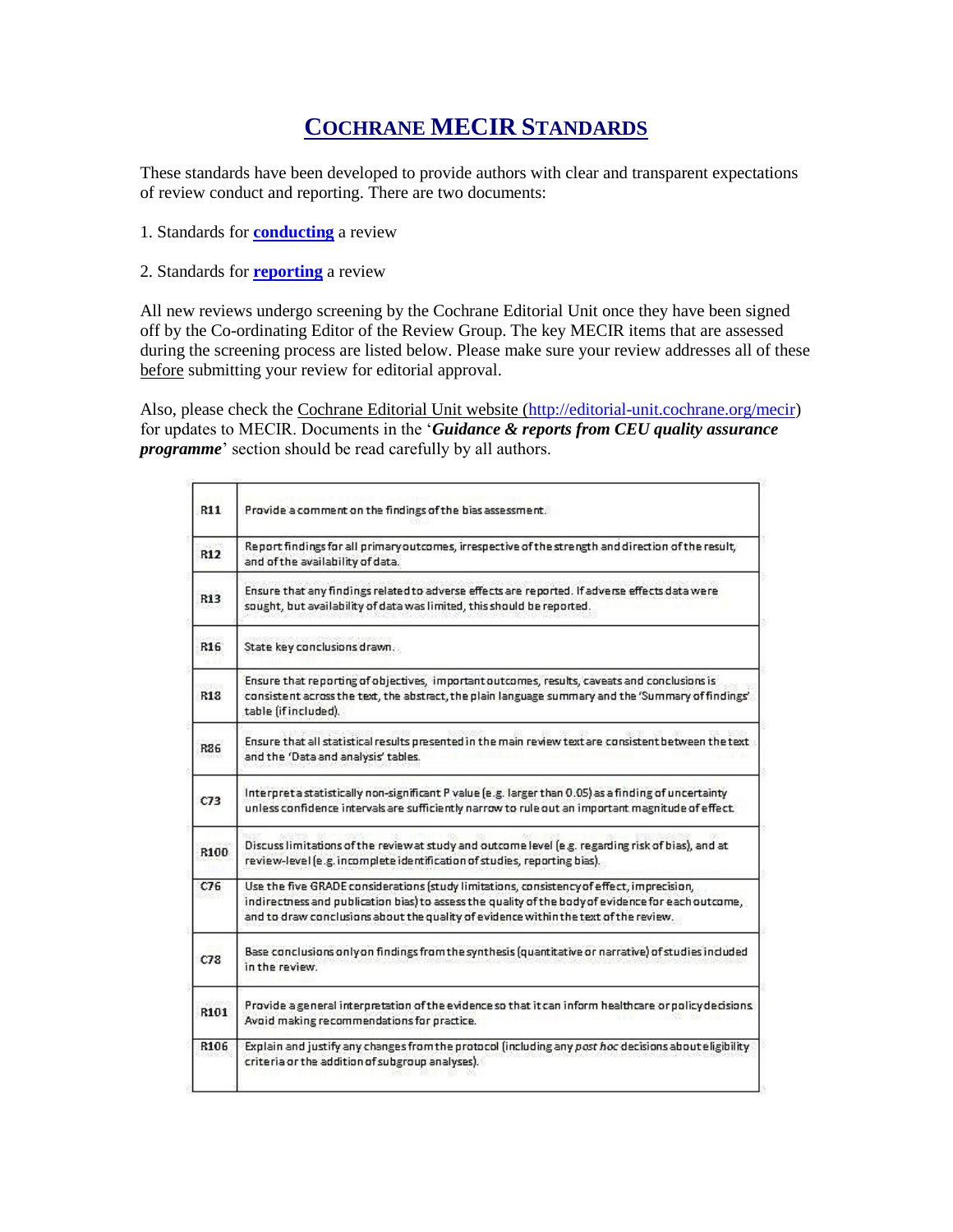#### **COCHRANE MECIR STANDARDS**

These standards have been developed to provide authors with clear and transparent expectations of review conduct and reporting. There are two documents:

- 1. Standards for **[conducting](http://www.editorial-unit.cochrane.org/sites/editorial-unit.cochrane.org/files/uploads/MECIR_conduct_standards%202.3%2002122013.pdf)** a review
- 2. Standards for **[reporting](http://www.editorial-unit.cochrane.org/sites/editorial-unit.cochrane.org/files/uploads/MECIR%20Reporting%20standards%201.1_17122012_2.pdf)** a review

All new reviews undergo screening by the Cochrane Editorial Unit once they have been signed off by the Co-ordinating Editor of the Review Group. The key MECIR items that are assessed during the screening process are listed below. Please make sure your review addresses all of these before submitting your review for editorial approval.

Also, please check the Cochrane Editorial Unit website [\(http://editorial-unit.cochrane.org/mecir\)](http://editorial-unit.cochrane.org/mecir) for updates to MECIR. Documents in the '*Guidance & reports from CEU quality assurance programme*' section should be read carefully by all authors.

| R11  | Provide a comment on the findings of the bias assessment.                                                                                                                                                                                                                               |
|------|-----------------------------------------------------------------------------------------------------------------------------------------------------------------------------------------------------------------------------------------------------------------------------------------|
| R12  | Report findings for all primary outcomes, irrespective of the strength and direction of the result,<br>and of the availability of data.                                                                                                                                                 |
| R13  | Ensure that any findings related to adverse effects are reported. If adverse effects data were<br>sought, but availability of data was limited, this should be reported.                                                                                                                |
| R16  | State key conclusions drawn.                                                                                                                                                                                                                                                            |
| R13  | Ensure that reporting of objectives, important outcomes, results, caveats and conclusions is<br>consistent across the text, the abstract, the plain language summary and the 'Summary of findings'<br>table (if included).                                                              |
| R86  | Ensure that all statistical results presented in the main review text are consistent between the text<br>and the 'Data and analysis' tables.                                                                                                                                            |
| C73  | Interpreta statistically non-significant P value (e.g. larger than 0.05) as a finding of uncertainty<br>unless confidence intervals are sufficiently narrow to rule out an important magnitude of effect.                                                                               |
| R100 | Discuss limitations of the review at study and outcome level (e.g. regarding risk of bias), and at<br>review-level (e.g. incomplete identification of studies, reporting bias).                                                                                                         |
| C76  | Use the five GRADE considerations (study limitations, consistency of effect, imprecision,<br>indirectness and publication bias) to assess the quality of the body of evidence for each outcome,<br>and to draw conclusions about the quality of evidence within the text of the review. |
| C78  | Base conclusions only on findings from the synthesis (quantitative or narrative) of studies included<br>in the review.                                                                                                                                                                  |
| R101 | Provide a general interpretation of the evidence so that it can inform healthcare or policy decisions.<br>Avoid making recommendations for practice.                                                                                                                                    |
| R106 | Explain and justify any changes from the protocol (including any post hoc decisions about eligibility<br>criteria or the addition of subgroup analyses).                                                                                                                                |